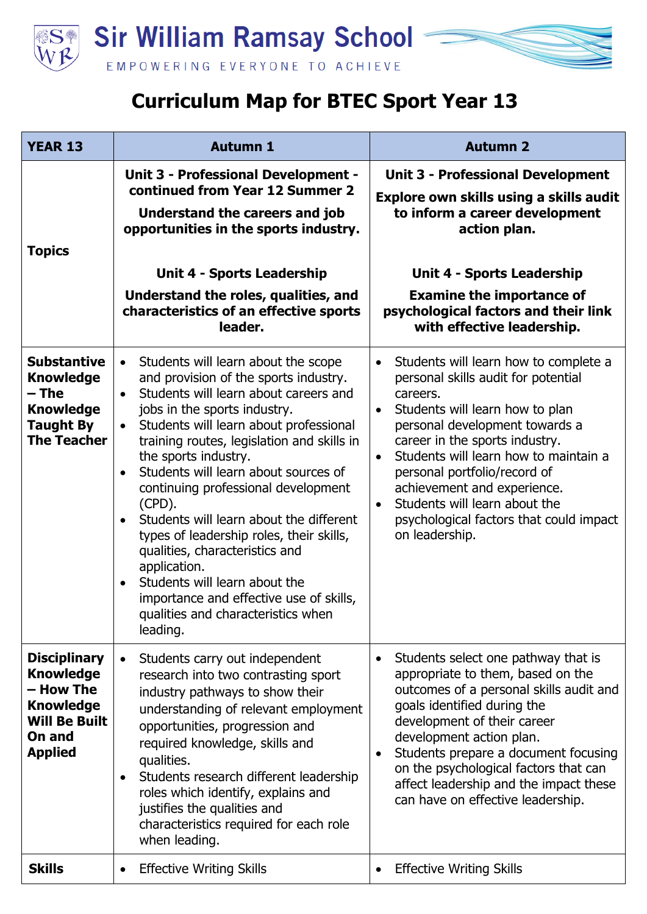

## **Curriculum Map for BTEC Sport Year 13**

| <b>YEAR 13</b>                                                                                                               | <b>Autumn 1</b>                                                                                                                                                                                                                                                                                                                                                                                                                                                                                                                                                                                                                                                                                                        | <b>Autumn 2</b>                                                                                                                                                                                                                                                                                                                                                                                                                                           |
|------------------------------------------------------------------------------------------------------------------------------|------------------------------------------------------------------------------------------------------------------------------------------------------------------------------------------------------------------------------------------------------------------------------------------------------------------------------------------------------------------------------------------------------------------------------------------------------------------------------------------------------------------------------------------------------------------------------------------------------------------------------------------------------------------------------------------------------------------------|-----------------------------------------------------------------------------------------------------------------------------------------------------------------------------------------------------------------------------------------------------------------------------------------------------------------------------------------------------------------------------------------------------------------------------------------------------------|
| <b>Topics</b>                                                                                                                | <b>Unit 3 - Professional Development -</b><br>continued from Year 12 Summer 2<br>Understand the careers and job<br>opportunities in the sports industry.<br><b>Unit 4 - Sports Leadership</b><br>Understand the roles, qualities, and<br>characteristics of an effective sports<br>leader.                                                                                                                                                                                                                                                                                                                                                                                                                             | <b>Unit 3 - Professional Development</b><br>Explore own skills using a skills audit<br>to inform a career development<br>action plan.<br><b>Unit 4 - Sports Leadership</b><br><b>Examine the importance of</b><br>psychological factors and their link<br>with effective leadership.                                                                                                                                                                      |
| <b>Substantive</b><br><b>Knowledge</b><br>– The<br><b>Knowledge</b><br><b>Taught By</b><br><b>The Teacher</b>                | Students will learn about the scope<br>$\bullet$<br>and provision of the sports industry.<br>Students will learn about careers and<br>$\bullet$<br>jobs in the sports industry.<br>Students will learn about professional<br>$\bullet$<br>training routes, legislation and skills in<br>the sports industry.<br>Students will learn about sources of<br>$\bullet$<br>continuing professional development<br>$(CPD)$ .<br>Students will learn about the different<br>$\bullet$<br>types of leadership roles, their skills,<br>qualities, characteristics and<br>application.<br>Students will learn about the<br>$\bullet$<br>importance and effective use of skills,<br>qualities and characteristics when<br>leading. | Students will learn how to complete a<br>$\bullet$<br>personal skills audit for potential<br>careers.<br>Students will learn how to plan<br>$\bullet$<br>personal development towards a<br>career in the sports industry.<br>Students will learn how to maintain a<br>$\bullet$<br>personal portfolio/record of<br>achievement and experience.<br>Students will learn about the<br>$\bullet$<br>psychological factors that could impact<br>on leadership. |
| <b>Disciplinary</b><br><b>Knowledge</b><br>- How The<br><b>Knowledge</b><br><b>Will Be Built</b><br>On and<br><b>Applied</b> | Students carry out independent<br>$\bullet$<br>research into two contrasting sport<br>industry pathways to show their<br>understanding of relevant employment<br>opportunities, progression and<br>required knowledge, skills and<br>qualities.<br>Students research different leadership<br>$\bullet$<br>roles which identify, explains and<br>justifies the qualities and<br>characteristics required for each role<br>when leading.                                                                                                                                                                                                                                                                                 | Students select one pathway that is<br>$\bullet$<br>appropriate to them, based on the<br>outcomes of a personal skills audit and<br>goals identified during the<br>development of their career<br>development action plan.<br>Students prepare a document focusing<br>٠<br>on the psychological factors that can<br>affect leadership and the impact these<br>can have on effective leadership.                                                           |
| <b>Skills</b>                                                                                                                | <b>Effective Writing Skills</b><br>$\bullet$                                                                                                                                                                                                                                                                                                                                                                                                                                                                                                                                                                                                                                                                           | <b>Effective Writing Skills</b><br>٠                                                                                                                                                                                                                                                                                                                                                                                                                      |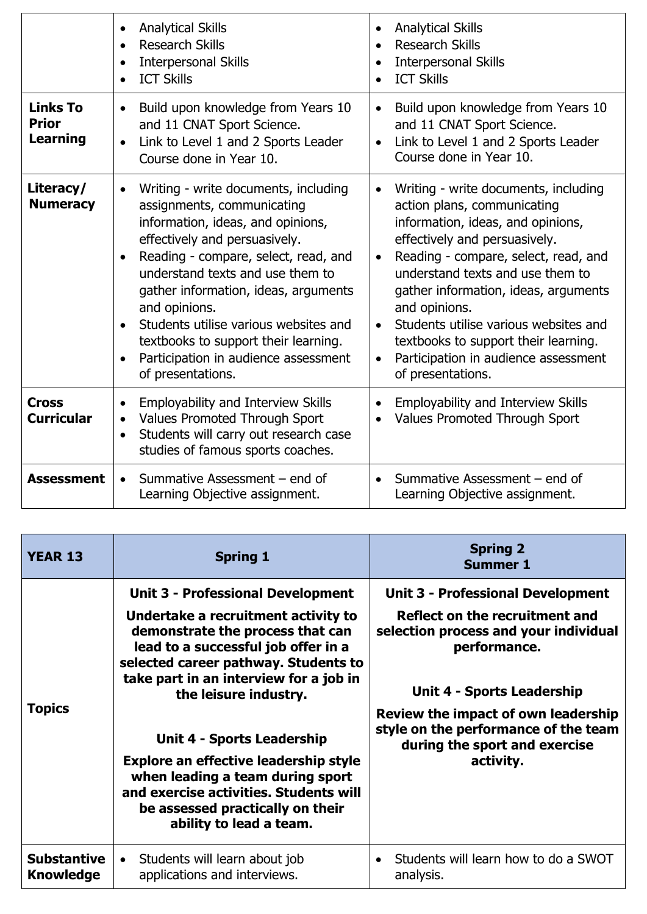|                                             | <b>Analytical Skills</b><br>$\bullet$<br><b>Research Skills</b><br><b>Interpersonal Skills</b><br><b>ICT Skills</b>                                                                                                                                                                                                                                                                                                                                                | <b>Analytical Skills</b><br>$\bullet$<br><b>Research Skills</b><br><b>Interpersonal Skills</b><br><b>ICT Skills</b>                                                                                                                                                                                                                                                                                                                                                 |
|---------------------------------------------|--------------------------------------------------------------------------------------------------------------------------------------------------------------------------------------------------------------------------------------------------------------------------------------------------------------------------------------------------------------------------------------------------------------------------------------------------------------------|---------------------------------------------------------------------------------------------------------------------------------------------------------------------------------------------------------------------------------------------------------------------------------------------------------------------------------------------------------------------------------------------------------------------------------------------------------------------|
| <b>Links To</b><br><b>Prior</b><br>Learning | Build upon knowledge from Years 10<br>$\bullet$<br>and 11 CNAT Sport Science.<br>Link to Level 1 and 2 Sports Leader<br>$\bullet$<br>Course done in Year 10.                                                                                                                                                                                                                                                                                                       | Build upon knowledge from Years 10<br>$\bullet$<br>and 11 CNAT Sport Science.<br>Link to Level 1 and 2 Sports Leader<br>$\bullet$<br>Course done in Year 10.                                                                                                                                                                                                                                                                                                        |
| Literacy/<br><b>Numeracy</b>                | Writing - write documents, including<br>$\bullet$<br>assignments, communicating<br>information, ideas, and opinions,<br>effectively and persuasively.<br>Reading - compare, select, read, and<br>understand texts and use them to<br>gather information, ideas, arguments<br>and opinions.<br>Students utilise various websites and<br>$\bullet$<br>textbooks to support their learning.<br>Participation in audience assessment<br>$\bullet$<br>of presentations. | Writing - write documents, including<br>action plans, communicating<br>information, ideas, and opinions,<br>effectively and persuasively.<br>Reading - compare, select, read, and<br>$\bullet$<br>understand texts and use them to<br>gather information, ideas, arguments<br>and opinions.<br>Students utilise various websites and<br>$\bullet$<br>textbooks to support their learning.<br>Participation in audience assessment<br>$\bullet$<br>of presentations. |
| <b>Cross</b><br><b>Curricular</b>           | <b>Employability and Interview Skills</b><br>$\bullet$<br>Values Promoted Through Sport<br>$\bullet$<br>Students will carry out research case<br>$\bullet$<br>studies of famous sports coaches.                                                                                                                                                                                                                                                                    | Employability and Interview Skills<br><b>Values Promoted Through Sport</b>                                                                                                                                                                                                                                                                                                                                                                                          |
| <b>Assessment</b>                           | Summative Assessment – end of<br>Learning Objective assignment.                                                                                                                                                                                                                                                                                                                                                                                                    | Summative Assessment – end of<br>Learning Objective assignment.                                                                                                                                                                                                                                                                                                                                                                                                     |

| <b>YEAR 13</b>                         | <b>Spring 1</b>                                                                                                                                                                                                                                                                                                                                                                                                                                                                                         | <b>Spring 2</b><br><b>Summer 1</b>                                                                                                                                                                                                                                                                    |
|----------------------------------------|---------------------------------------------------------------------------------------------------------------------------------------------------------------------------------------------------------------------------------------------------------------------------------------------------------------------------------------------------------------------------------------------------------------------------------------------------------------------------------------------------------|-------------------------------------------------------------------------------------------------------------------------------------------------------------------------------------------------------------------------------------------------------------------------------------------------------|
| <b>Topics</b>                          | <b>Unit 3 - Professional Development</b><br>Undertake a recruitment activity to<br>demonstrate the process that can<br>lead to a successful job offer in a<br>selected career pathway. Students to<br>take part in an interview for a job in<br>the leisure industry.<br><b>Unit 4 - Sports Leadership</b><br><b>Explore an effective leadership style</b><br>when leading a team during sport<br>and exercise activities. Students will<br>be assessed practically on their<br>ability to lead a team. | <b>Unit 3 - Professional Development</b><br>Reflect on the recruitment and<br>selection process and your individual<br>performance.<br><b>Unit 4 - Sports Leadership</b><br>Review the impact of own leadership<br>style on the performance of the team<br>during the sport and exercise<br>activity. |
| <b>Substantive</b><br><b>Knowledge</b> | Students will learn about job<br>applications and interviews.                                                                                                                                                                                                                                                                                                                                                                                                                                           | Students will learn how to do a SWOT<br>$\bullet$<br>analysis.                                                                                                                                                                                                                                        |